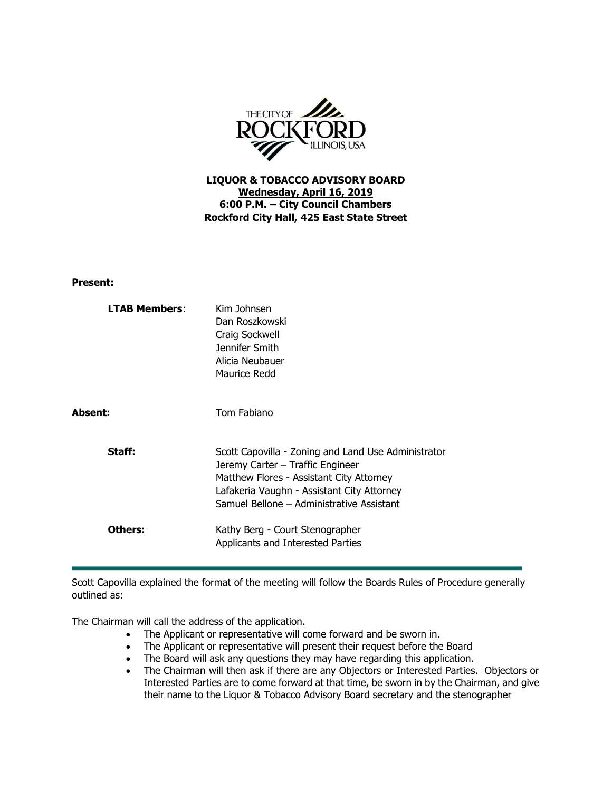

**LIQUOR & TOBACCO ADVISORY BOARD Wednesday, April 16, 2019 6:00 P.M. – City Council Chambers Rockford City Hall, 425 East State Street**

## **Present:**

| <b>LTAB Members:</b> | Kim Johnsen<br>Dan Roszkowski<br>Craig Sockwell<br>Jennifer Smith<br>Alicia Neubauer<br>Maurice Redd                                                                                                                           |
|----------------------|--------------------------------------------------------------------------------------------------------------------------------------------------------------------------------------------------------------------------------|
| Absent:              | Tom Fabiano                                                                                                                                                                                                                    |
| Staff:               | Scott Capovilla - Zoning and Land Use Administrator<br>Jeremy Carter - Traffic Engineer<br>Matthew Flores - Assistant City Attorney<br>Lafakeria Vaughn - Assistant City Attorney<br>Samuel Bellone - Administrative Assistant |
| Others:              | Kathy Berg - Court Stenographer<br>Applicants and Interested Parties                                                                                                                                                           |

Scott Capovilla explained the format of the meeting will follow the Boards Rules of Procedure generally outlined as:

The Chairman will call the address of the application.

- The Applicant or representative will come forward and be sworn in.
- The Applicant or representative will present their request before the Board
- The Board will ask any questions they may have regarding this application.
- The Chairman will then ask if there are any Objectors or Interested Parties. Objectors or Interested Parties are to come forward at that time, be sworn in by the Chairman, and give their name to the Liquor & Tobacco Advisory Board secretary and the stenographer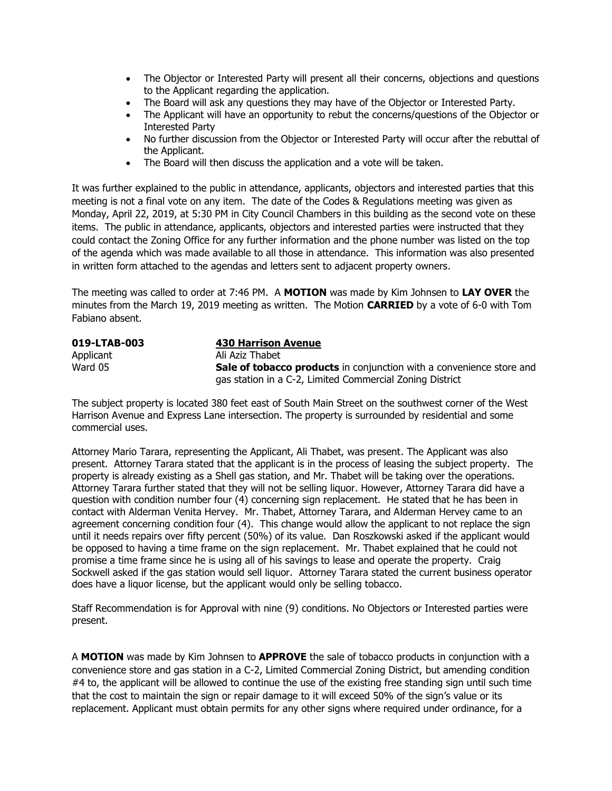- The Objector or Interested Party will present all their concerns, objections and questions to the Applicant regarding the application.
- The Board will ask any questions they may have of the Objector or Interested Party.
- The Applicant will have an opportunity to rebut the concerns/questions of the Objector or Interested Party
- No further discussion from the Objector or Interested Party will occur after the rebuttal of the Applicant.
- The Board will then discuss the application and a vote will be taken.

It was further explained to the public in attendance, applicants, objectors and interested parties that this meeting is not a final vote on any item. The date of the Codes & Regulations meeting was given as Monday, April 22, 2019, at 5:30 PM in City Council Chambers in this building as the second vote on these items. The public in attendance, applicants, objectors and interested parties were instructed that they could contact the Zoning Office for any further information and the phone number was listed on the top of the agenda which was made available to all those in attendance. This information was also presented in written form attached to the agendas and letters sent to adjacent property owners.

The meeting was called to order at 7:46 PM. A **MOTION** was made by Kim Johnsen to **LAY OVER** the minutes from the March 19, 2019 meeting as written. The Motion **CARRIED** by a vote of 6-0 with Tom Fabiano absent.

| 019-LTAB-003 | 430 Harrison Avenue                                                         |
|--------------|-----------------------------------------------------------------------------|
| Applicant    | Ali Aziz Thabet                                                             |
| Ward 05      | <b>Sale of tobacco products</b> in conjunction with a convenience store and |
|              | gas station in a C-2, Limited Commercial Zoning District                    |

The subject property is located 380 feet east of South Main Street on the southwest corner of the West Harrison Avenue and Express Lane intersection. The property is surrounded by residential and some commercial uses.

Attorney Mario Tarara, representing the Applicant, Ali Thabet, was present. The Applicant was also present. Attorney Tarara stated that the applicant is in the process of leasing the subject property. The property is already existing as a Shell gas station, and Mr. Thabet will be taking over the operations. Attorney Tarara further stated that they will not be selling liquor. However, Attorney Tarara did have a question with condition number four (4) concerning sign replacement. He stated that he has been in contact with Alderman Venita Hervey. Mr. Thabet, Attorney Tarara, and Alderman Hervey came to an agreement concerning condition four (4). This change would allow the applicant to not replace the sign until it needs repairs over fifty percent (50%) of its value. Dan Roszkowski asked if the applicant would be opposed to having a time frame on the sign replacement. Mr. Thabet explained that he could not promise a time frame since he is using all of his savings to lease and operate the property. Craig Sockwell asked if the gas station would sell liquor. Attorney Tarara stated the current business operator does have a liquor license, but the applicant would only be selling tobacco.

Staff Recommendation is for Approval with nine (9) conditions. No Objectors or Interested parties were present.

A **MOTION** was made by Kim Johnsen to **APPROVE** the sale of tobacco products in conjunction with a convenience store and gas station in a C-2, Limited Commercial Zoning District, but amending condition #4 to, the applicant will be allowed to continue the use of the existing free standing sign until such time that the cost to maintain the sign or repair damage to it will exceed 50% of the sign's value or its replacement. Applicant must obtain permits for any other signs where required under ordinance, for a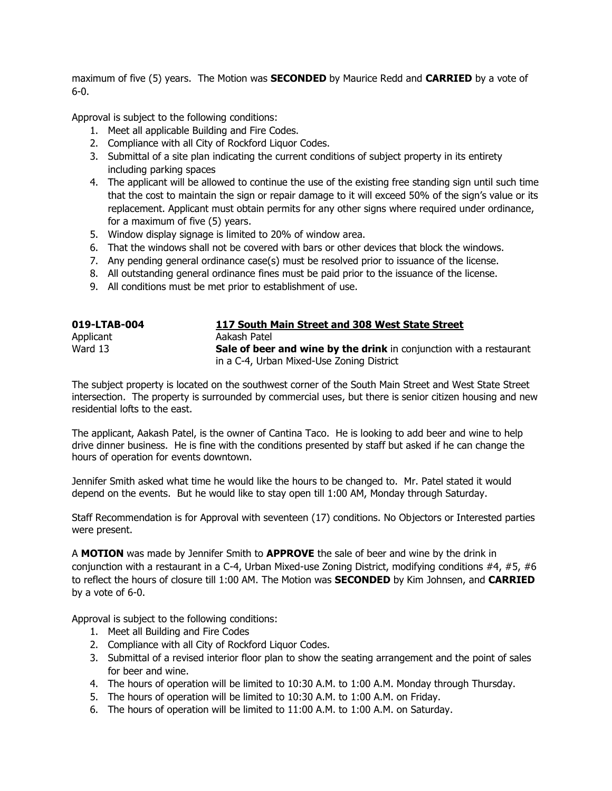maximum of five (5) years. The Motion was **SECONDED** by Maurice Redd and **CARRIED** by a vote of 6-0.

Approval is subject to the following conditions:

- 1. Meet all applicable Building and Fire Codes.
- 2. Compliance with all City of Rockford Liquor Codes.
- 3. Submittal of a site plan indicating the current conditions of subject property in its entirety including parking spaces
- 4. The applicant will be allowed to continue the use of the existing free standing sign until such time that the cost to maintain the sign or repair damage to it will exceed 50% of the sign's value or its replacement. Applicant must obtain permits for any other signs where required under ordinance, for a maximum of five (5) years.
- 5. Window display signage is limited to 20% of window area.
- 6. That the windows shall not be covered with bars or other devices that block the windows.
- 7. Any pending general ordinance case(s) must be resolved prior to issuance of the license.
- 8. All outstanding general ordinance fines must be paid prior to the issuance of the license.
- 9. All conditions must be met prior to establishment of use.

| 019-LTAB-004 | 117 South Main Street and 308 West State Street                            |
|--------------|----------------------------------------------------------------------------|
| Applicant    | Aakash Patel                                                               |
| Ward 13      | <b>Sale of beer and wine by the drink</b> in conjunction with a restaurant |
|              | in a C-4, Urban Mixed-Use Zoning District                                  |

The subject property is located on the southwest corner of the South Main Street and West State Street intersection. The property is surrounded by commercial uses, but there is senior citizen housing and new residential lofts to the east.

The applicant, Aakash Patel, is the owner of Cantina Taco. He is looking to add beer and wine to help drive dinner business. He is fine with the conditions presented by staff but asked if he can change the hours of operation for events downtown.

Jennifer Smith asked what time he would like the hours to be changed to. Mr. Patel stated it would depend on the events. But he would like to stay open till 1:00 AM, Monday through Saturday.

Staff Recommendation is for Approval with seventeen (17) conditions. No Objectors or Interested parties were present.

A **MOTION** was made by Jennifer Smith to **APPROVE** the sale of beer and wine by the drink in conjunction with a restaurant in a C-4, Urban Mixed-use Zoning District, modifying conditions #4, #5, #6 to reflect the hours of closure till 1:00 AM. The Motion was **SECONDED** by Kim Johnsen, and **CARRIED** by a vote of 6-0.

Approval is subject to the following conditions:

- 1. Meet all Building and Fire Codes
- 2. Compliance with all City of Rockford Liquor Codes.
- 3. Submittal of a revised interior floor plan to show the seating arrangement and the point of sales for beer and wine.
- 4. The hours of operation will be limited to 10:30 A.M. to 1:00 A.M. Monday through Thursday.
- 5. The hours of operation will be limited to 10:30 A.M. to 1:00 A.M. on Friday.
- 6. The hours of operation will be limited to 11:00 A.M. to 1:00 A.M. on Saturday.